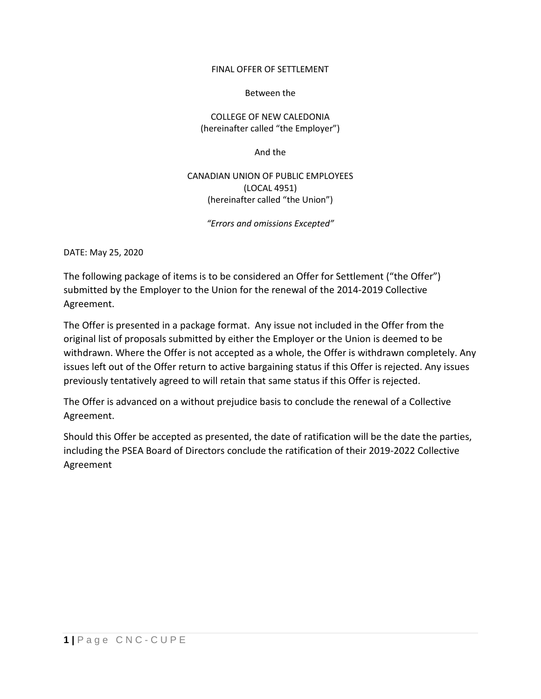## FINAL OFFER OF SETTLEMENT

### Between the

COLLEGE OF NEW CALEDONIA (hereinafter called "the Employer")

And the

# CANADIAN UNION OF PUBLIC EMPLOYEES (LOCAL 4951) (hereinafter called "the Union")

*"Errors and omissions Excepted"*

DATE: May 25, 2020

The following package of items is to be considered an Offer for Settlement ("the Offer") submitted by the Employer to the Union for the renewal of the 2014-2019 Collective Agreement.

The Offer is presented in a package format. Any issue not included in the Offer from the original list of proposals submitted by either the Employer or the Union is deemed to be withdrawn. Where the Offer is not accepted as a whole, the Offer is withdrawn completely. Any issues left out of the Offer return to active bargaining status if this Offer is rejected. Any issues previously tentatively agreed to will retain that same status if this Offer is rejected.

The Offer is advanced on a without prejudice basis to conclude the renewal of a Collective Agreement.

Should this Offer be accepted as presented, the date of ratification will be the date the parties, including the PSEA Board of Directors conclude the ratification of their 2019-2022 Collective Agreement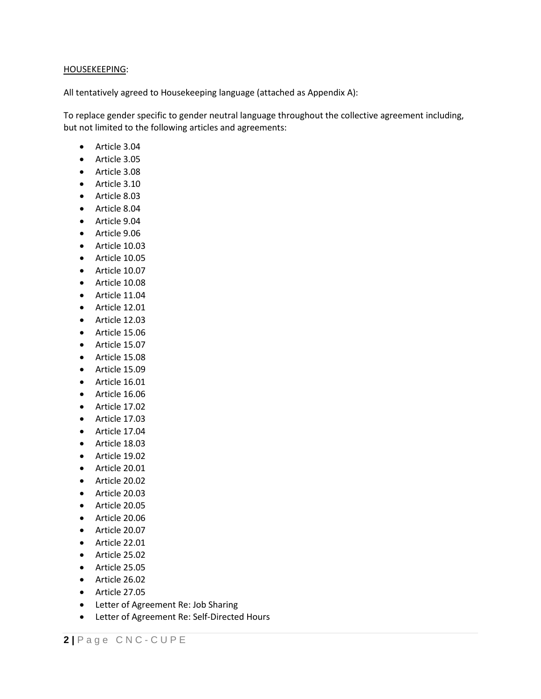#### HOUSEKEEPING:

All tentatively agreed to Housekeeping language (attached as Appendix A):

To replace gender specific to gender neutral language throughout the collective agreement including, but not limited to the following articles and agreements:

- Article 3.04
- Article 3.05
- Article 3.08
- Article 3.10
- Article 8.03
- Article 8.04
- Article 9.04
- Article 9.06
- Article 10.03
- Article 10.05
- Article 10.07
- Article 10.08
- Article 11.04
- Article 12.01
- Article 12.03
- Article 15.06
- Article 15.07
- Article 15.08
- Article 15.09
- Article 16.01
- Article 16.06
- Article 17.02
- Article 17.03
- Article 17.04
- Article 18.03
- Article 19.02
- Article 20.01
- Article 20.02
- Article 20.03
- Article 20.05
- Article 20.06
- Article 20.07
- Article 22.01
- Article 25.02
- Article 25.05
- Article 26.02
- Article 27.05
- Letter of Agreement Re: Job Sharing
- Letter of Agreement Re: Self-Directed Hours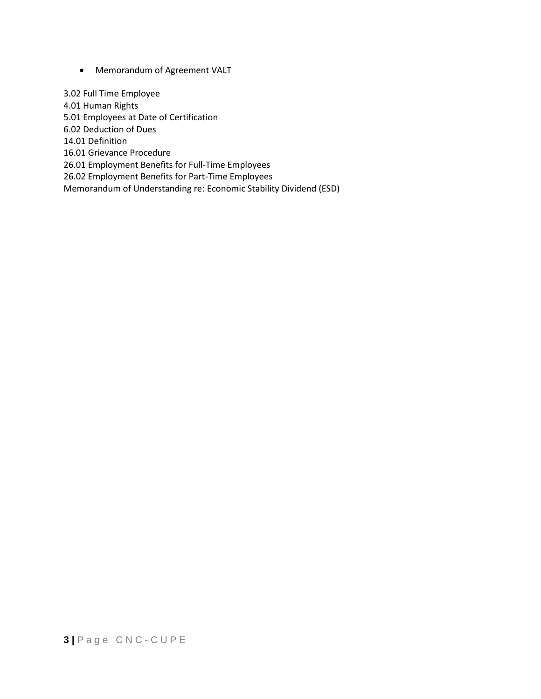• Memorandum of Agreement VALT

3.02 Full Time Employee 4.01 Human Rights 5.01 Employees at Date of Certification 6.02 Deduction of Dues 14.01 Definition 16.01 Grievance Procedure 26.01 Employment Benefits for Full-Time Employees 26.02 Employment Benefits for Part-Time Employees Memorandum of Understanding re: Economic Stability Dividend (ESD)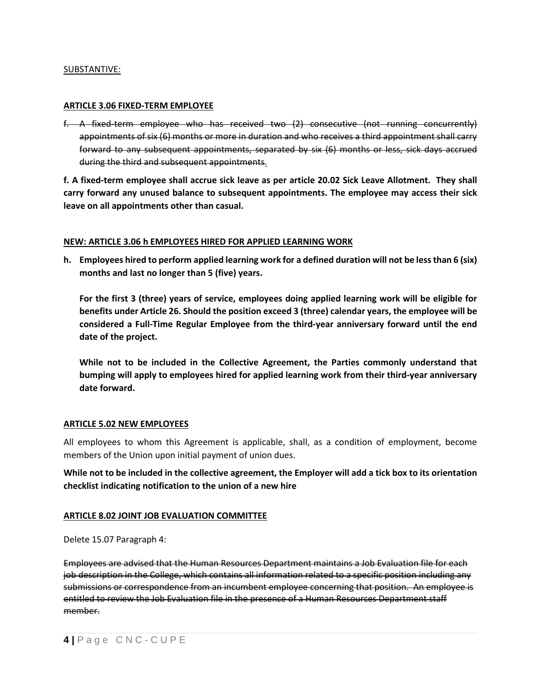#### SUBSTANTIVE:

#### **ARTICLE 3.06 FIXED-TERM EMPLOYEE**

f. A fixed-term employee who has received two (2) consecutive (not running concurrently) appointments of six (6) months or more in duration and who receives a third appointment shall carry forward to any subsequent appointments, separated by six (6) months or less, sick days accrued during the third and subsequent appointments.

**f. A fixed-term employee shall accrue sick leave as per article 20.02 Sick Leave Allotment. They shall carry forward any unused balance to subsequent appointments. The employee may access their sick leave on all appointments other than casual.**

#### **NEW: ARTICLE 3.06 h EMPLOYEES HIRED FOR APPLIED LEARNING WORK**

**h. Employees hired to perform applied learning work for a defined duration will not be less than 6 (six) months and last no longer than 5 (five) years.**

**For the first 3 (three) years of service, employees doing applied learning work will be eligible for benefits under Article 26. Should the position exceed 3 (three) calendar years, the employee will be considered a Full-Time Regular Employee from the third-year anniversary forward until the end date of the project.** 

**While not to be included in the Collective Agreement, the Parties commonly understand that bumping will apply to employees hired for applied learning work from their third-year anniversary date forward.**

#### **ARTICLE 5.02 NEW EMPLOYEES**

All employees to whom this Agreement is applicable, shall, as a condition of employment, become members of the Union upon initial payment of union dues.

**While not to be included in the collective agreement, the Employer will add a tick box to its orientation checklist indicating notification to the union of a new hire**

### **ARTICLE 8.02 JOINT JOB EVALUATION COMMITTEE**

Delete 15.07 Paragraph 4:

Employees are advised that the Human Resources Department maintains a Job Evaluation file for each job description in the College, which contains all information related to a specific position including any submissions or correspondence from an incumbent employee concerning that position. An employee is entitled to review the Job Evaluation file in the presence of a Human Resources Department staff member.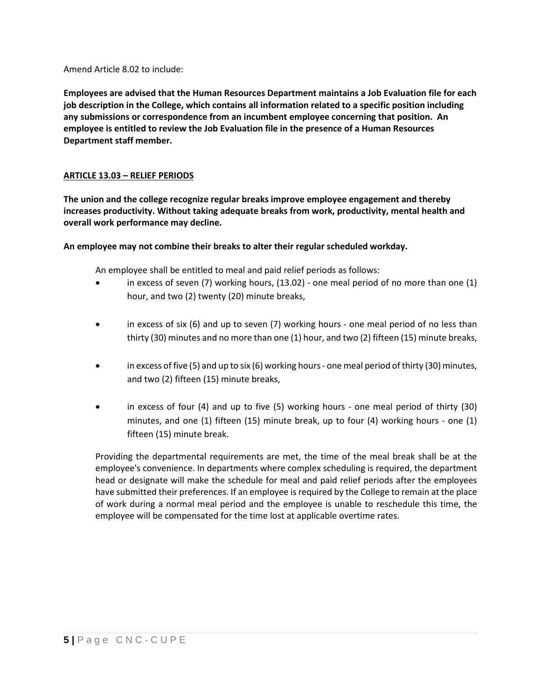Amend Article 8.02 to include:

**Employees are advised that the Human Resources Department maintains a Job Evaluation file for each job description in the College, which contains all information related to a specific position including any submissions or correspondence from an incumbent employee concerning that position. An employee is entitled to review the Job Evaluation file in the presence of a Human Resources Department staff member.**

### **ARTICLE 13.03 – RELIEF PERIODS**

**The union and the college recognize regular breaks improve employee engagement and thereby increases productivity. Without taking adequate breaks from work, productivity, mental health and overall work performance may decline.**

### **An employee may not combine their breaks to alter their regular scheduled workday.**

An employee shall be entitled to meal and paid relief periods as follows:

- in excess of seven (7) working hours, (13.02) one meal period of no more than one (1) hour, and two (2) twenty (20) minute breaks,
- in excess of six (6) and up to seven (7) working hours one meal period of no less than thirty (30) minutes and no more than one (1) hour, and two (2) fifteen (15) minute breaks,
- in excess of five (5) and up to six (6) working hours one meal period of thirty (30) minutes, and two (2) fifteen (15) minute breaks,
- in excess of four (4) and up to five (5) working hours one meal period of thirty (30) minutes, and one (1) fifteen (15) minute break, up to four (4) working hours - one (1) fifteen (15) minute break.

Providing the departmental requirements are met, the time of the meal break shall be at the employee's convenience. In departments where complex scheduling is required, the department head or designate will make the schedule for meal and paid relief periods after the employees have submitted their preferences. If an employee is required by the College to remain at the place of work during a normal meal period and the employee is unable to reschedule this time, the employee will be compensated for the time lost at applicable overtime rates.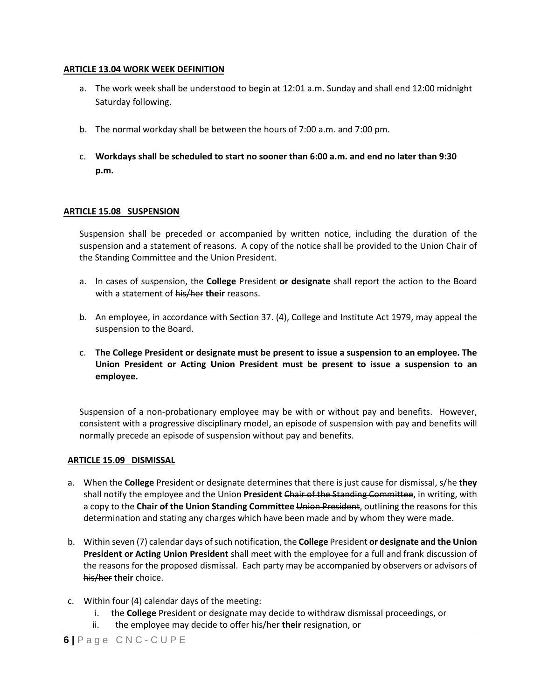#### **ARTICLE 13.04 WORK WEEK DEFINITION**

- a. The work week shall be understood to begin at 12:01 a.m. Sunday and shall end 12:00 midnight Saturday following.
- b. The normal workday shall be between the hours of 7:00 a.m. and 7:00 pm.
- c. **Workdays shall be scheduled to start no sooner than 6:00 a.m. and end no later than 9:30 p.m.**

### **ARTICLE 15.08 SUSPENSION**

Suspension shall be preceded or accompanied by written notice, including the duration of the suspension and a statement of reasons. A copy of the notice shall be provided to the Union Chair of the Standing Committee and the Union President.

- a. In cases of suspension, the **College** President **or designate** shall report the action to the Board with a statement of his/her **their** reasons.
- b. An employee, in accordance with Section 37. (4), College and Institute Act 1979, may appeal the suspension to the Board.
- c. **The College President or designate must be present to issue a suspension to an employee. The Union President or Acting Union President must be present to issue a suspension to an employee.**

Suspension of a non-probationary employee may be with or without pay and benefits. However, consistent with a progressive disciplinary model, an episode of suspension with pay and benefits will normally precede an episode of suspension without pay and benefits.

### **ARTICLE 15.09 DISMISSAL**

- a. When the **College** President or designate determines that there is just cause for dismissal, s/he **they**  shall notify the employee and the Union **President** Chair of the Standing Committee, in writing, with a copy to the **Chair of the Union Standing Committee** Union President, outlining the reasons for this determination and stating any charges which have been made and by whom they were made.
- b. Within seven (7) calendar days of such notification, the **College** President **or designate and the Union President or Acting Union President** shall meet with the employee for a full and frank discussion of the reasons for the proposed dismissal. Each party may be accompanied by observers or advisors of his/her **their** choice.
- c. Within four (4) calendar days of the meeting:
	- i. the **College** President or designate may decide to withdraw dismissal proceedings, or
	- ii. the employee may decide to offer his/her **their** resignation, or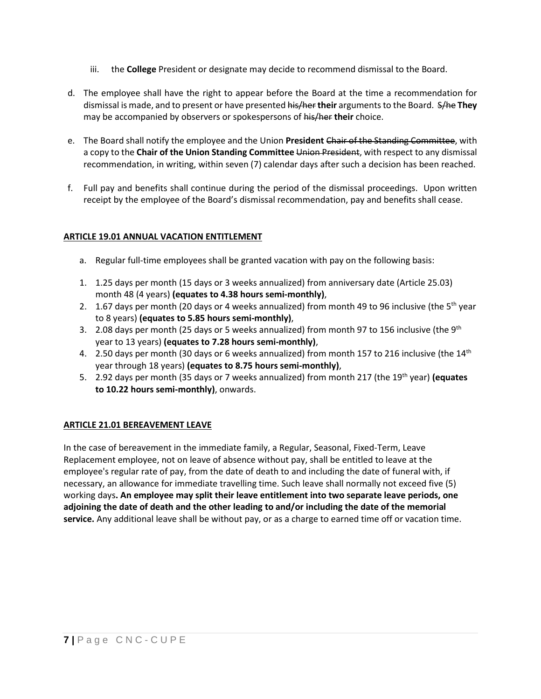- iii. the **College** President or designate may decide to recommend dismissal to the Board.
- d. The employee shall have the right to appear before the Board at the time a recommendation for dismissal is made, and to present or have presented his/her **their** arguments to the Board. S/he **They**  may be accompanied by observers or spokespersons of his/her **their** choice.
- e. The Board shall notify the employee and the Union **President** Chair of the Standing Committee, with a copy to the **Chair of the Union Standing Committee** Union President, with respect to any dismissal recommendation, in writing, within seven (7) calendar days after such a decision has been reached.
- f. Full pay and benefits shall continue during the period of the dismissal proceedings. Upon written receipt by the employee of the Board's dismissal recommendation, pay and benefits shall cease.

# **ARTICLE 19.01 ANNUAL VACATION ENTITLEMENT**

- a. Regular full-time employees shall be granted vacation with pay on the following basis:
- 1. 1.25 days per month (15 days or 3 weeks annualized) from anniversary date (Article 25.03) month 48 (4 years) **(equates to 4.38 hours semi-monthly)**,
- 2. 1.67 days per month (20 days or 4 weeks annualized) from month 49 to 96 inclusive (the 5<sup>th</sup> year to 8 years) **(equates to 5.85 hours semi-monthly)**,
- 3. 2.08 days per month (25 days or 5 weeks annualized) from month 97 to 156 inclusive (the  $9<sup>th</sup>$ year to 13 years) **(equates to 7.28 hours semi-monthly)**,
- 4. 2.50 days per month (30 days or 6 weeks annualized) from month 157 to 216 inclusive (the 14<sup>th</sup> year through 18 years) **(equates to 8.75 hours semi-monthly)**,
- 5. 2.92 days per month (35 days or 7 weeks annualized) from month 217 (the 19th year) **(equates to 10.22 hours semi-monthly)**, onwards.

# **ARTICLE 21.01 BEREAVEMENT LEAVE**

In the case of bereavement in the immediate family, a Regular, Seasonal, Fixed-Term, Leave Replacement employee, not on leave of absence without pay, shall be entitled to leave at the employee's regular rate of pay, from the date of death to and including the date of funeral with, if necessary, an allowance for immediate travelling time. Such leave shall normally not exceed five (5) working days**. An employee may split their leave entitlement into two separate leave periods, one adjoining the date of death and the other leading to and/or including the date of the memorial service.** Any additional leave shall be without pay, or as a charge to earned time off or vacation time.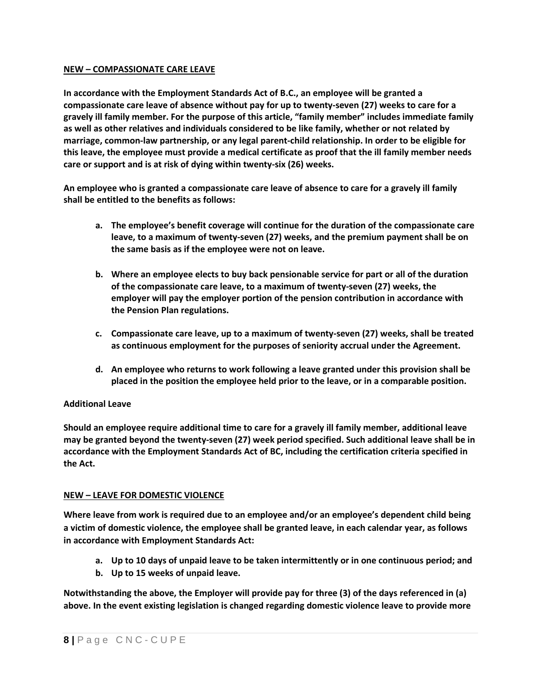#### **NEW – COMPASSIONATE CARE LEAVE**

**In accordance with the Employment Standards Act of B.C., an employee will be granted a compassionate care leave of absence without pay for up to twenty-seven (27) weeks to care for a gravely ill family member. For the purpose of this article, "family member" includes immediate family as well as other relatives and individuals considered to be like family, whether or not related by marriage, common-law partnership, or any legal parent-child relationship. In order to be eligible for this leave, the employee must provide a medical certificate as proof that the ill family member needs care or support and is at risk of dying within twenty-six (26) weeks.**

**An employee who is granted a compassionate care leave of absence to care for a gravely ill family shall be entitled to the benefits as follows:**

- **a. The employee's benefit coverage will continue for the duration of the compassionate care leave, to a maximum of twenty-seven (27) weeks, and the premium payment shall be on the same basis as if the employee were not on leave.**
- **b. Where an employee elects to buy back pensionable service for part or all of the duration of the compassionate care leave, to a maximum of twenty-seven (27) weeks, the employer will pay the employer portion of the pension contribution in accordance with the Pension Plan regulations.**
- **c. Compassionate care leave, up to a maximum of twenty-seven (27) weeks, shall be treated as continuous employment for the purposes of seniority accrual under the Agreement.**
- **d. An employee who returns to work following a leave granted under this provision shall be placed in the position the employee held prior to the leave, or in a comparable position.**

### **Additional Leave**

**Should an employee require additional time to care for a gravely ill family member, additional leave may be granted beyond the twenty-seven (27) week period specified. Such additional leave shall be in accordance with the Employment Standards Act of BC, including the certification criteria specified in the Act.**

#### **NEW – LEAVE FOR DOMESTIC VIOLENCE**

**Where leave from work is required due to an employee and/or an employee's dependent child being a victim of domestic violence, the employee shall be granted leave, in each calendar year, as follows in accordance with Employment Standards Act:**

- **a. Up to 10 days of unpaid leave to be taken intermittently or in one continuous period; and**
- **b. Up to 15 weeks of unpaid leave.**

**Notwithstanding the above, the Employer will provide pay for three (3) of the days referenced in (a) above. In the event existing legislation is changed regarding domestic violence leave to provide more**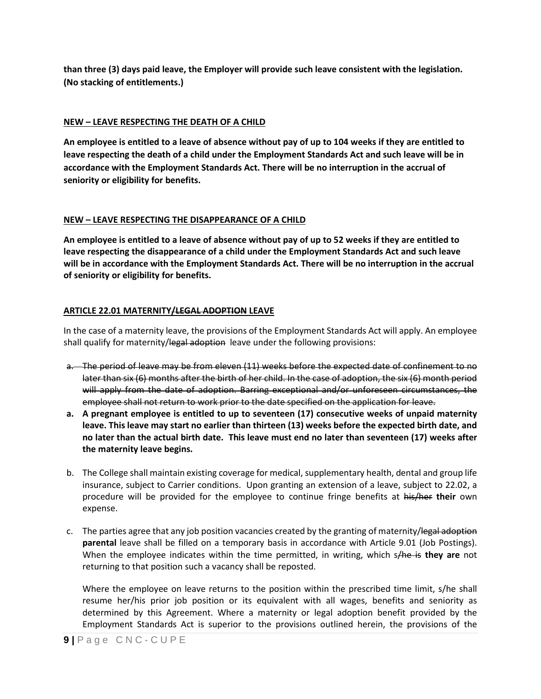**than three (3) days paid leave, the Employer will provide such leave consistent with the legislation. (No stacking of entitlements.)**

## **NEW – LEAVE RESPECTING THE DEATH OF A CHILD**

**An employee is entitled to a leave of absence without pay of up to 104 weeks if they are entitled to leave respecting the death of a child under the Employment Standards Act and such leave will be in accordance with the Employment Standards Act. There will be no interruption in the accrual of seniority or eligibility for benefits.**

# **NEW – LEAVE RESPECTING THE DISAPPEARANCE OF A CHILD**

**An employee is entitled to a leave of absence without pay of up to 52 weeks if they are entitled to leave respecting the disappearance of a child under the Employment Standards Act and such leave will be in accordance with the Employment Standards Act. There will be no interruption in the accrual of seniority or eligibility for benefits.**

# **ARTICLE 22.01 MATERNITY/LEGAL ADOPTION LEAVE**

In the case of a maternity leave, the provisions of the Employment Standards Act will apply. An employee shall qualify for maternity/legal adoption leave under the following provisions:

- a. The period of leave may be from eleven (11) weeks before the expected date of confinement to no later than six (6) months after the birth of her child. In the case of adoption, the six (6) month period will apply from the date of adoption. Barring exceptional and/or unforeseen circumstances, the employee shall not return to work prior to the date specified on the application for leave.
- **a. A pregnant employee is entitled to up to seventeen (17) consecutive weeks of unpaid maternity leave. This leave may start no earlier than thirteen (13) weeks before the expected birth date, and no later than the actual birth date. This leave must end no later than seventeen (17) weeks after the maternity leave begins.**
- b. The College shall maintain existing coverage for medical, supplementary health, dental and group life insurance, subject to Carrier conditions. Upon granting an extension of a leave, subject to 22.02, a procedure will be provided for the employee to continue fringe benefits at his/her **their** own expense.
- c. The parties agree that any job position vacancies created by the granting of maternity/legal adoption **parental** leave shall be filled on a temporary basis in accordance with Article 9.01 (Job Postings). When the employee indicates within the time permitted, in writing, which s/he is **they are** not returning to that position such a vacancy shall be reposted.

Where the employee on leave returns to the position within the prescribed time limit, s/he shall resume her/his prior job position or its equivalent with all wages, benefits and seniority as determined by this Agreement. Where a maternity or legal adoption benefit provided by the Employment Standards Act is superior to the provisions outlined herein, the provisions of the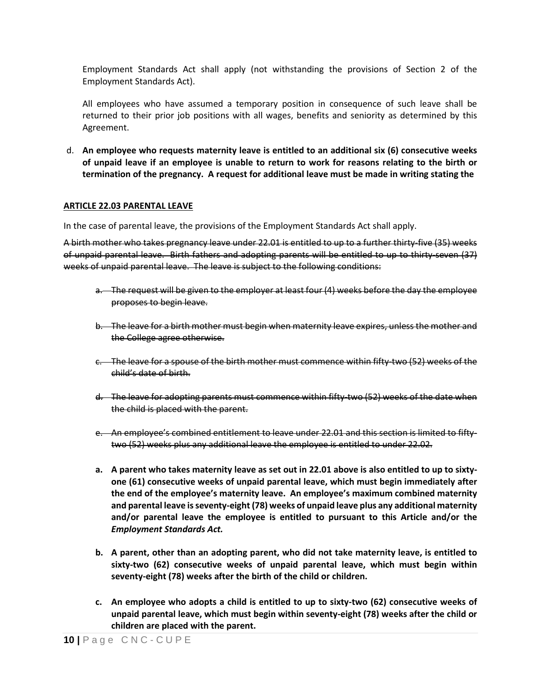Employment Standards Act shall apply (not withstanding the provisions of Section 2 of the Employment Standards Act).

All employees who have assumed a temporary position in consequence of such leave shall be returned to their prior job positions with all wages, benefits and seniority as determined by this Agreement.

d. **An employee who requests maternity leave is entitled to an additional six (6) consecutive weeks of unpaid leave if an employee is unable to return to work for reasons relating to the birth or termination of the pregnancy. A request for additional leave must be made in writing stating the** 

#### **ARTICLE 22.03 PARENTAL LEAVE**

In the case of parental leave, the provisions of the Employment Standards Act shall apply.

A birth mother who takes pregnancy leave under 22.01 is entitled to up to a further thirty-five (35) weeks of unpaid parental leave. Birth fathers and adopting parents will be entitled to up to thirty-seven (37) weeks of unpaid parental leave. The leave is subject to the following conditions:

- a. The request will be given to the employer at least four (4) weeks before the day the employee proposes to begin leave.
- b. The leave for a birth mother must begin when maternity leave expires, unless the mother and the College agree otherwise.
- c. The leave for a spouse of the birth mother must commence within fifty-two (52) weeks of the child's date of birth.
- d. The leave for adopting parents must commence within fifty-two (52) weeks of the date when the child is placed with the parent.
- e. An employee's combined entitlement to leave under 22.01 and this section is limited to fiftytwo (52) weeks plus any additional leave the employee is entitled to under 22.02.
- **a. A parent who takes maternity leave as set out in 22.01 above is also entitled to up to sixtyone (61) consecutive weeks of unpaid parental leave, which must begin immediately after the end of the employee's maternity leave. An employee's maximum combined maternity and parental leave is seventy-eight (78) weeks of unpaid leave plus any additional maternity and/or parental leave the employee is entitled to pursuant to this Article and/or the**  *Employment Standards Act.*
- **b. A parent, other than an adopting parent, who did not take maternity leave, is entitled to sixty-two (62) consecutive weeks of unpaid parental leave, which must begin within seventy-eight (78) weeks after the birth of the child or children.**
- **c. An employee who adopts a child is entitled to up to sixty-two (62) consecutive weeks of unpaid parental leave, which must begin within seventy-eight (78) weeks after the child or children are placed with the parent.**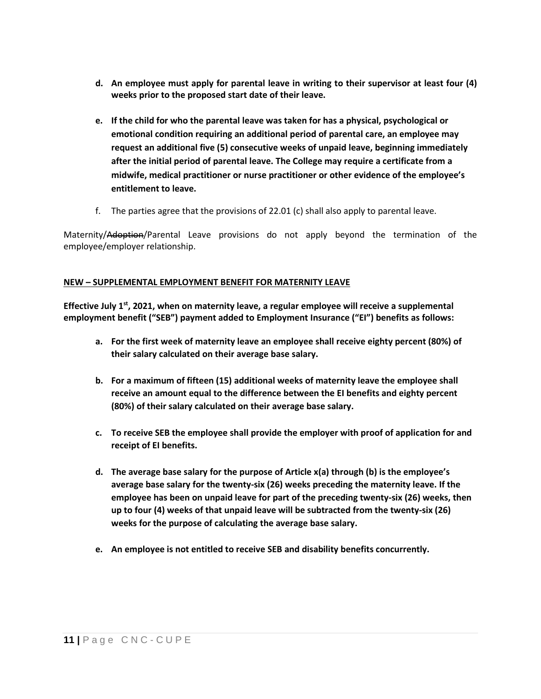- **d. An employee must apply for parental leave in writing to their supervisor at least four (4) weeks prior to the proposed start date of their leave.**
- **e. If the child for who the parental leave was taken for has a physical, psychological or emotional condition requiring an additional period of parental care, an employee may request an additional five (5) consecutive weeks of unpaid leave, beginning immediately after the initial period of parental leave. The College may require a certificate from a midwife, medical practitioner or nurse practitioner or other evidence of the employee's entitlement to leave.**
- f. The parties agree that the provisions of 22.01 (c) shall also apply to parental leave.

Maternity/Adoption/Parental Leave provisions do not apply beyond the termination of the employee/employer relationship.

### **NEW – SUPPLEMENTAL EMPLOYMENT BENEFIT FOR MATERNITY LEAVE**

Effective July 1<sup>st</sup>, 2021, when on maternity leave, a regular employee will receive a supplemental **employment benefit ("SEB") payment added to Employment Insurance ("EI") benefits as follows:** 

- **a. For the first week of maternity leave an employee shall receive eighty percent (80%) of their salary calculated on their average base salary.**
- **b. For a maximum of fifteen (15) additional weeks of maternity leave the employee shall receive an amount equal to the difference between the EI benefits and eighty percent (80%) of their salary calculated on their average base salary.**
- **c. To receive SEB the employee shall provide the employer with proof of application for and receipt of EI benefits.**
- **d. The average base salary for the purpose of Article x(a) through (b) is the employee's average base salary for the twenty-six (26) weeks preceding the maternity leave. If the employee has been on unpaid leave for part of the preceding twenty-six (26) weeks, then up to four (4) weeks of that unpaid leave will be subtracted from the twenty-six (26) weeks for the purpose of calculating the average base salary.**
- **e. An employee is not entitled to receive SEB and disability benefits concurrently.**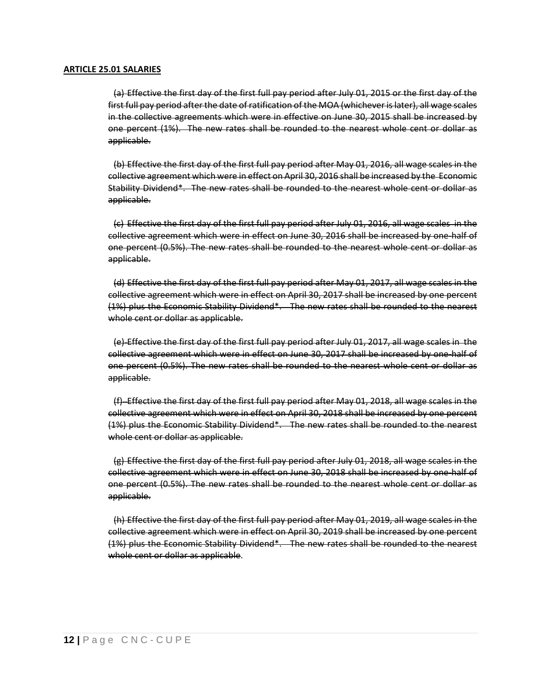(a) Effective the first day of the first full pay period after July 01, 2015 or the first day of the first full pay period after the date of ratification of the MOA (whichever is later), all wage scales in the collective agreements which were in effective on June 30, 2015 shall be increased by one percent (1%). The new rates shall be rounded to the nearest whole cent or dollar as applicable.

(b) Effective the first day of the first full pay period after May 01, 2016, all wage scales in the collective agreement which were in effect on April 30, 2016 shall be increased by the Economic Stability Dividend\*. The new rates shall be rounded to the nearest whole cent or dollar as applicable.

(c) Effective the first day of the first full pay period after July 01, 2016, all wage scales in the collective agreement which were in effect on June 30, 2016 shall be increased by one-half of one percent (0.5%). The new rates shall be rounded to the nearest whole cent or dollar as applicable.

(d) Effective the first day of the first full pay period after May 01, 2017, all wage scales in the collective agreement which were in effect on April 30, 2017 shall be increased by one percent (1%) plus the Economic Stability Dividend\*. The new rates shall be rounded to the nearest whole cent or dollar as applicable.

(e) Effective the first day of the first full pay period after July 01, 2017, all wage scales in the collective agreement which were in effect on June 30, 2017 shall be increased by one-half of one percent (0.5%). The new rates shall be rounded to the nearest whole cent or dollar as applicable.

(f) Effective the first day of the first full pay period after May 01, 2018, all wage scales in the collective agreement which were in effect on April 30, 2018 shall be increased by one percent (1%) plus the Economic Stability Dividend\*. The new rates shall be rounded to the nearest whole cent or dollar as applicable.

(g) Effective the first day of the first full pay period after July 01, 2018, all wage scales in the collective agreement which were in effect on June 30, 2018 shall be increased by one-half of one percent (0.5%). The new rates shall be rounded to the nearest whole cent or dollar as applicable.

(h) Effective the first day of the first full pay period after May 01, 2019, all wage scales in the collective agreement which were in effect on April 30, 2019 shall be increased by one percent (1%) plus the Economic Stability Dividend\*. The new rates shall be rounded to the nearest whole cent or dollar as applicable.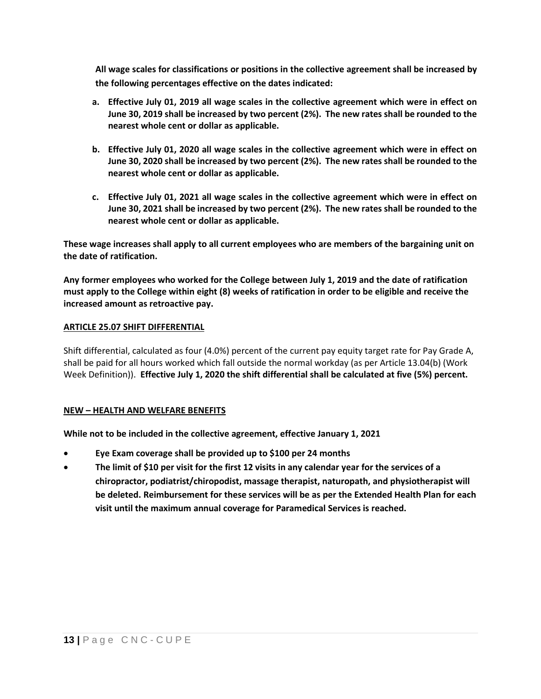**All wage scales for classifications or positions in the collective agreement shall be increased by the following percentages effective on the dates indicated:**

- **a. Effective July 01, 2019 all wage scales in the collective agreement which were in effect on June 30, 2019 shall be increased by two percent (2%). The new rates shall be rounded to the nearest whole cent or dollar as applicable.**
- **b. Effective July 01, 2020 all wage scales in the collective agreement which were in effect on June 30, 2020 shall be increased by two percent (2%). The new rates shall be rounded to the nearest whole cent or dollar as applicable.**
- **c. Effective July 01, 2021 all wage scales in the collective agreement which were in effect on June 30, 2021 shall be increased by two percent (2%). The new rates shall be rounded to the nearest whole cent or dollar as applicable.**

**These wage increases shall apply to all current employees who are members of the bargaining unit on the date of ratification.**

**Any former employees who worked for the College between July 1, 2019 and the date of ratification must apply to the College within eight (8) weeks of ratification in order to be eligible and receive the increased amount as retroactive pay.**

### **ARTICLE 25.07 SHIFT DIFFERENTIAL**

Shift differential, calculated as four (4.0%) percent of the current pay equity target rate for Pay Grade A, shall be paid for all hours worked which fall outside the normal workday (as per Article 13.04(b) (Work Week Definition)). **Effective July 1, 2020 the shift differential shall be calculated at five (5%) percent.**

### **NEW – HEALTH AND WELFARE BENEFITS**

**While not to be included in the collective agreement, effective January 1, 2021**

- **Eye Exam coverage shall be provided up to \$100 per 24 months**
- **The limit of \$10 per visit for the first 12 visits in any calendar year for the services of a chiropractor, podiatrist/chiropodist, massage therapist, naturopath, and physiotherapist will be deleted. Reimbursement for these services will be as per the Extended Health Plan for each visit until the maximum annual coverage for Paramedical Services is reached.**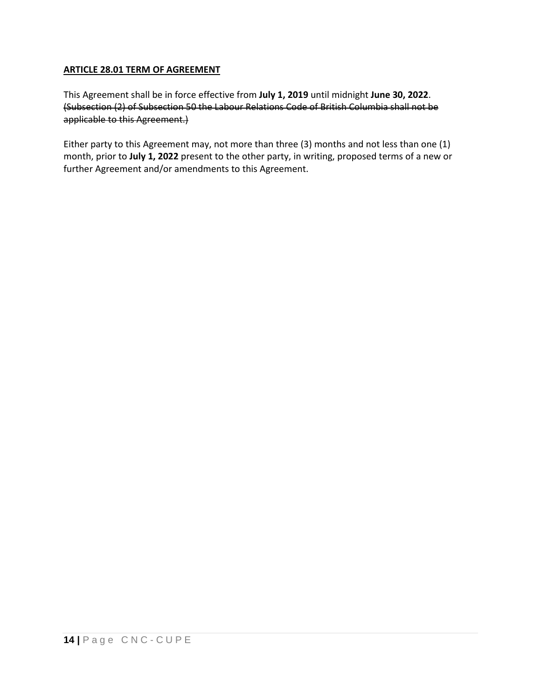# **ARTICLE 28.01 TERM OF AGREEMENT**

This Agreement shall be in force effective from **July 1, 2019** until midnight **June 30, 2022**. (Subsection (2) of Subsection 50 the Labour Relations Code of British Columbia shall not be applicable to this Agreement.)

Either party to this Agreement may, not more than three (3) months and not less than one (1) month, prior to **July 1, 2022** present to the other party, in writing, proposed terms of a new or further Agreement and/or amendments to this Agreement.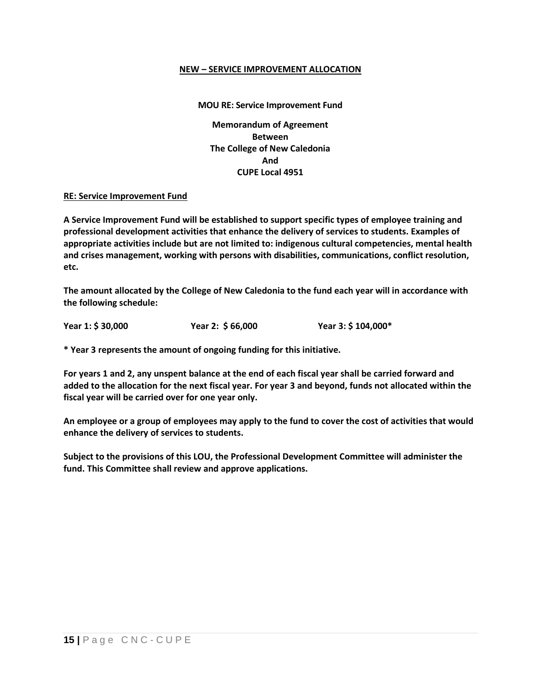### **NEW – SERVICE IMPROVEMENT ALLOCATION**

# **MOU RE: Service Improvement Fund Memorandum of Agreement Between The College of New Caledonia And CUPE Local 4951**

#### **RE: Service Improvement Fund**

**A Service Improvement Fund will be established to support specific types of employee training and professional development activities that enhance the delivery of services to students. Examples of appropriate activities include but are not limited to: indigenous cultural competencies, mental health and crises management, working with persons with disabilities, communications, conflict resolution, etc.**

**The amount allocated by the College of New Caledonia to the fund each year will in accordance with the following schedule:**

**Year 1: \$ 30,000 Year 2: \$ 66,000 Year 3: \$ 104,000\***

**\* Year 3 represents the amount of ongoing funding for this initiative.**

**For years 1 and 2, any unspent balance at the end of each fiscal year shall be carried forward and added to the allocation for the next fiscal year. For year 3 and beyond, funds not allocated within the fiscal year will be carried over for one year only.**

**An employee or a group of employees may apply to the fund to cover the cost of activities that would enhance the delivery of services to students.**

**Subject to the provisions of this LOU, the Professional Development Committee will administer the fund. This Committee shall review and approve applications.**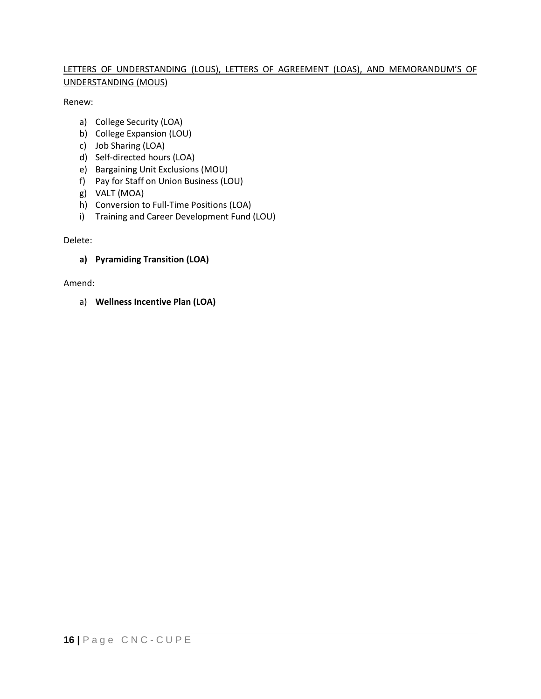# LETTERS OF UNDERSTANDING (LOUS), LETTERS OF AGREEMENT (LOAS), AND MEMORANDUM'S OF UNDERSTANDING (MOUS)

Renew:

- a) College Security (LOA)
- b) College Expansion (LOU)
- c) Job Sharing (LOA)
- d) Self-directed hours (LOA)
- e) Bargaining Unit Exclusions (MOU)
- f) Pay for Staff on Union Business (LOU)
- g) VALT (MOA)
- h) Conversion to Full-Time Positions (LOA)
- i) Training and Career Development Fund (LOU)

# Delete:

# **a) Pyramiding Transition (LOA)**

Amend:

a) **Wellness Incentive Plan (LOA)**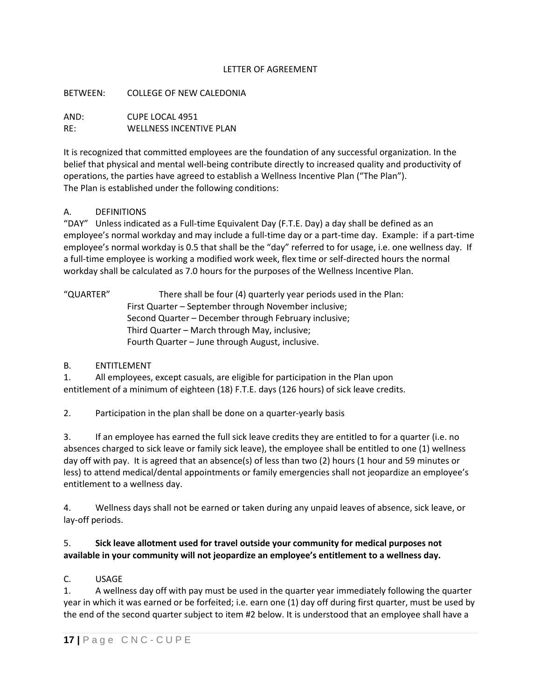## LETTER OF AGREEMENT

### BETWEEN: COLLEGE OF NEW CALEDONIA

AND: CUPE LOCAL 4951 RE: WELLNESS INCENTIVE PLAN

It is recognized that committed employees are the foundation of any successful organization. In the belief that physical and mental well-being contribute directly to increased quality and productivity of operations, the parties have agreed to establish a Wellness Incentive Plan ("The Plan"). The Plan is established under the following conditions:

# A. DEFINITIONS

"DAY" Unless indicated as a Full-time Equivalent Day (F.T.E. Day) a day shall be defined as an employee's normal workday and may include a full-time day or a part-time day. Example: if a part-time employee's normal workday is 0.5 that shall be the "day" referred to for usage, i.e. one wellness day. If a full-time employee is working a modified work week, flex time or self-directed hours the normal workday shall be calculated as 7.0 hours for the purposes of the Wellness Incentive Plan.

"QUARTER" There shall be four (4) quarterly year periods used in the Plan: First Quarter – September through November inclusive; Second Quarter – December through February inclusive; Third Quarter – March through May, inclusive; Fourth Quarter – June through August, inclusive.

# B. ENTITLEMENT

1. All employees, except casuals, are eligible for participation in the Plan upon entitlement of a minimum of eighteen (18) F.T.E. days (126 hours) of sick leave credits.

2. Participation in the plan shall be done on a quarter-yearly basis

3. If an employee has earned the full sick leave credits they are entitled to for a quarter (i.e. no absences charged to sick leave or family sick leave), the employee shall be entitled to one (1) wellness day off with pay. It is agreed that an absence(s) of less than two (2) hours (1 hour and 59 minutes or less) to attend medical/dental appointments or family emergencies shall not jeopardize an employee's entitlement to a wellness day.

4. Wellness days shall not be earned or taken during any unpaid leaves of absence, sick leave, or lay-off periods.

# 5. **Sick leave allotment used for travel outside your community for medical purposes not available in your community will not jeopardize an employee's entitlement to a wellness day.**

# C. USAGE

1. A wellness day off with pay must be used in the quarter year immediately following the quarter year in which it was earned or be forfeited; i.e. earn one (1) day off during first quarter, must be used by the end of the second quarter subject to item #2 below. It is understood that an employee shall have a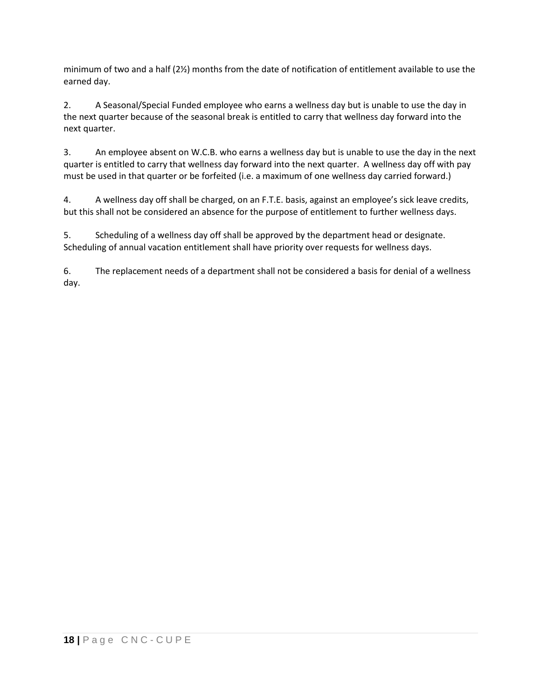minimum of two and a half (2½) months from the date of notification of entitlement available to use the earned day.

2. A Seasonal/Special Funded employee who earns a wellness day but is unable to use the day in the next quarter because of the seasonal break is entitled to carry that wellness day forward into the next quarter.

3. An employee absent on W.C.B. who earns a wellness day but is unable to use the day in the next quarter is entitled to carry that wellness day forward into the next quarter. A wellness day off with pay must be used in that quarter or be forfeited (i.e. a maximum of one wellness day carried forward.)

4. A wellness day off shall be charged, on an F.T.E. basis, against an employee's sick leave credits, but this shall not be considered an absence for the purpose of entitlement to further wellness days.

5. Scheduling of a wellness day off shall be approved by the department head or designate. Scheduling of annual vacation entitlement shall have priority over requests for wellness days.

6. The replacement needs of a department shall not be considered a basis for denial of a wellness day.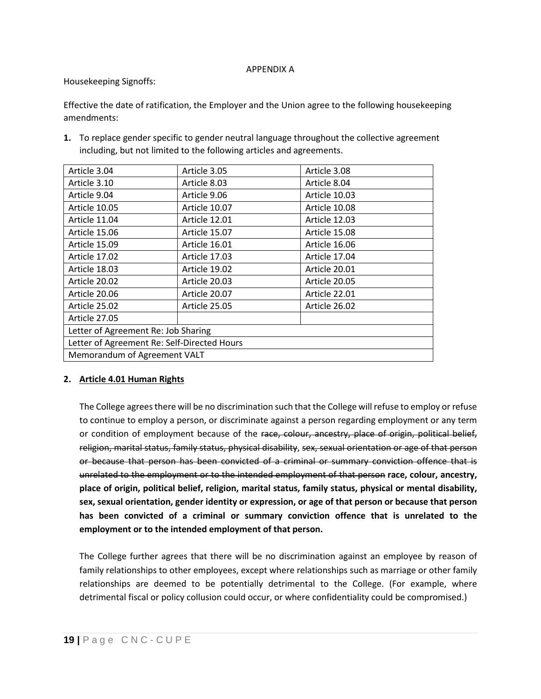#### APPENDIX A

### Housekeeping Signoffs:

Effective the date of ratification, the Employer and the Union agree to the following housekeeping amendments:

**1.** To replace gender specific to gender neutral language throughout the collective agreement including, but not limited to the following articles and agreements.

| Article 3.04                                | Article 3.05  | Article 3.08  |
|---------------------------------------------|---------------|---------------|
| Article 3.10                                | Article 8.03  | Article 8.04  |
| Article 9.04                                | Article 9.06  | Article 10.03 |
| Article 10.05                               | Article 10.07 | Article 10.08 |
| Article 11.04                               | Article 12.01 | Article 12.03 |
| Article 15.06                               | Article 15.07 | Article 15.08 |
| Article 15.09                               | Article 16.01 | Article 16.06 |
| Article 17.02                               | Article 17.03 | Article 17.04 |
| Article 18.03                               | Article 19.02 | Article 20.01 |
| Article 20.02                               | Article 20.03 | Article 20.05 |
| Article 20.06                               | Article 20.07 | Article 22.01 |
| Article 25.02                               | Article 25.05 | Article 26.02 |
| Article 27.05                               |               |               |
| Letter of Agreement Re: Job Sharing         |               |               |
| Letter of Agreement Re: Self-Directed Hours |               |               |
| Memorandum of Agreement VALT                |               |               |

# **2. Article 4.01 Human Rights**

The College agrees there will be no discrimination such that the College will refuse to employ or refuse to continue to employ a person, or discriminate against a person regarding employment or any term or condition of employment because of the race, colour, ancestry, place of origin, political belief, religion, marital status, family status, physical disability, sex, sexual orientation or age of that person or because that person has been convicted of a criminal or summary conviction offence that is unrelated to the employment or to the intended employment of that person **race, colour, ancestry, place of origin, political belief, religion, marital status, family status, physical or mental disability, sex, sexual orientation, gender identity or expression, or age of that person or because that person has been convicted of a criminal or summary conviction offence that is unrelated to the employment or to the intended employment of that person.**

The College further agrees that there will be no discrimination against an employee by reason of family relationships to other employees, except where relationships such as marriage or other family relationships are deemed to be potentially detrimental to the College. (For example, where detrimental fiscal or policy collusion could occur, or where confidentiality could be compromised.)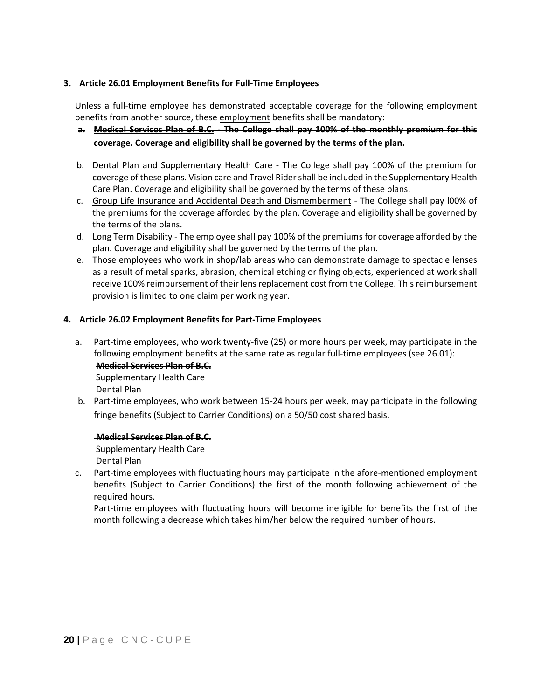# **3. Article 26.01 Employment Benefits for Full-Time Employees**

Unless a full-time employee has demonstrated acceptable coverage for the following employment benefits from another source, these employment benefits shall be mandatory:

# **a. Medical Services Plan of B.C. - The College shall pay 100% of the monthly premium for this coverage. Coverage and eligibility shall be governed by the terms of the plan.**

- b. Dental Plan and Supplementary Health Care The College shall pay 100% of the premium for coverage of these plans. Vision care and Travel Ridershall be included in the Supplementary Health Care Plan. Coverage and eligibility shall be governed by the terms of these plans.
- c. Group Life Insurance and Accidental Death and Dismemberment The College shall pay l00% of the premiums for the coverage afforded by the plan. Coverage and eligibility shall be governed by the terms of the plans.
- d. Long Term Disability The employee shall pay 100% of the premiums for coverage afforded by the plan. Coverage and eligibility shall be governed by the terms of the plan.
- e. Those employees who work in shop/lab areas who can demonstrate damage to spectacle lenses as a result of metal sparks, abrasion, chemical etching or flying objects, experienced at work shall receive 100% reimbursement of their lens replacement cost from the College. This reimbursement provision is limited to one claim per working year.

# **4. Article 26.02 Employment Benefits for Part-Time Employees**

a. Part-time employees, who work twenty-five (25) or more hours per week, may participate in the following employment benefits at the same rate as regular full-time employees (see 26.01): **Medical Services Plan of B.C.**  Supplementary Health Care

Dental Plan

b. Part-time employees, who work between 15-24 hours per week, may participate in the following fringe benefits (Subject to Carrier Conditions) on a 50/50 cost shared basis.

### **Medical Services Plan of B.C.**

Supplementary Health Care Dental Plan

c. Part-time employees with fluctuating hours may participate in the afore-mentioned employment benefits (Subject to Carrier Conditions) the first of the month following achievement of the required hours.

Part-time employees with fluctuating hours will become ineligible for benefits the first of the month following a decrease which takes him/her below the required number of hours.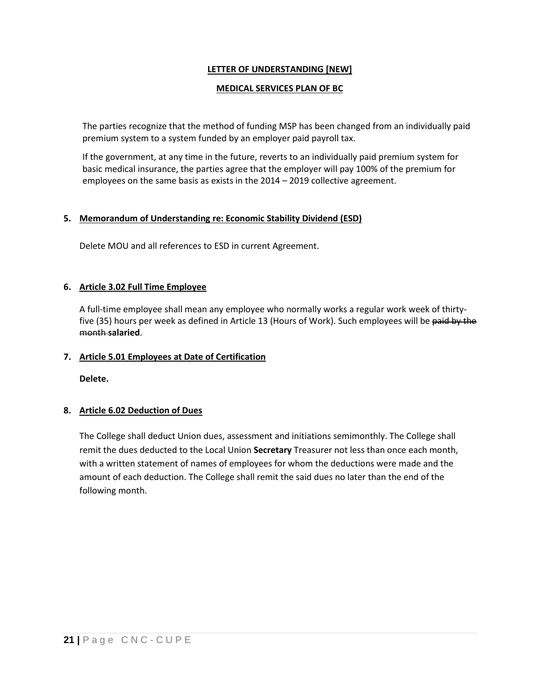# **LETTER OF UNDERSTANDING [NEW]**

### **MEDICAL SERVICES PLAN OF BC**

The parties recognize that the method of funding MSP has been changed from an individually paid premium system to a system funded by an employer paid payroll tax.

If the government, at any time in the future, reverts to an individually paid premium system for basic medical insurance, the parties agree that the employer will pay 100% of the premium for employees on the same basis as exists in the 2014 – 2019 collective agreement.

### **5. Memorandum of Understanding re: Economic Stability Dividend (ESD)**

Delete MOU and all references to ESD in current Agreement.

# **6. Article 3.02 Full Time Employee**

A full-time employee shall mean any employee who normally works a regular work week of thirtyfive (35) hours per week as defined in Article 13 (Hours of Work). Such employees will be paid by the month **salaried**.

# **7. Article 5.01 Employees at Date of Certification**

**Delete.**

### **8. Article 6.02 Deduction of Dues**

The College shall deduct Union dues, assessment and initiations semimonthly. The College shall remit the dues deducted to the Local Union **Secretary** Treasurer not less than once each month, with a written statement of names of employees for whom the deductions were made and the amount of each deduction. The College shall remit the said dues no later than the end of the following month.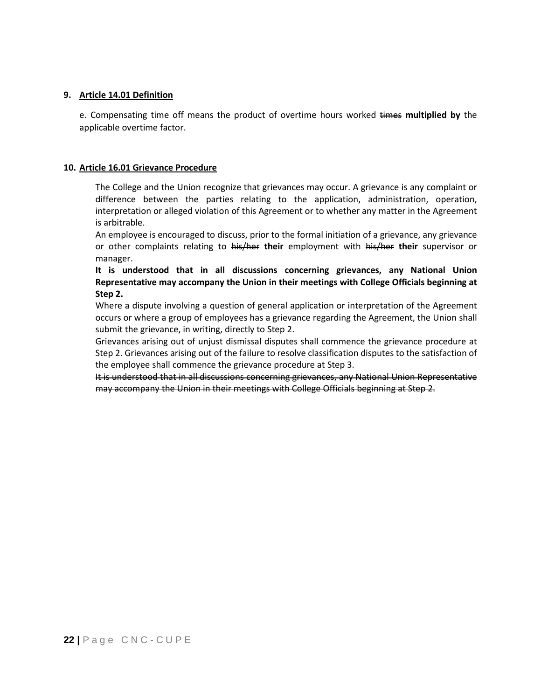### **9. Article 14.01 Definition**

e. Compensating time off means the product of overtime hours worked times **multiplied by** the applicable overtime factor.

#### **10. Article 16.01 Grievance Procedure**

The College and the Union recognize that grievances may occur. A grievance is any complaint or difference between the parties relating to the application, administration, operation, interpretation or alleged violation of this Agreement or to whether any matter in the Agreement is arbitrable.

An employee is encouraged to discuss, prior to the formal initiation of a grievance, any grievance or other complaints relating to his/her **their** employment with his/her **their** supervisor or manager.

**It is understood that in all discussions concerning grievances, any National Union Representative may accompany the Union in their meetings with College Officials beginning at Step 2.**

Where a dispute involving a question of general application or interpretation of the Agreement occurs or where a group of employees has a grievance regarding the Agreement, the Union shall submit the grievance, in writing, directly to Step 2.

Grievances arising out of unjust dismissal disputes shall commence the grievance procedure at Step 2. Grievances arising out of the failure to resolve classification disputes to the satisfaction of the employee shall commence the grievance procedure at Step 3.

It is understood that in all discussions concerning grievances, any National Union Representative may accompany the Union in their meetings with College Officials beginning at Step 2.